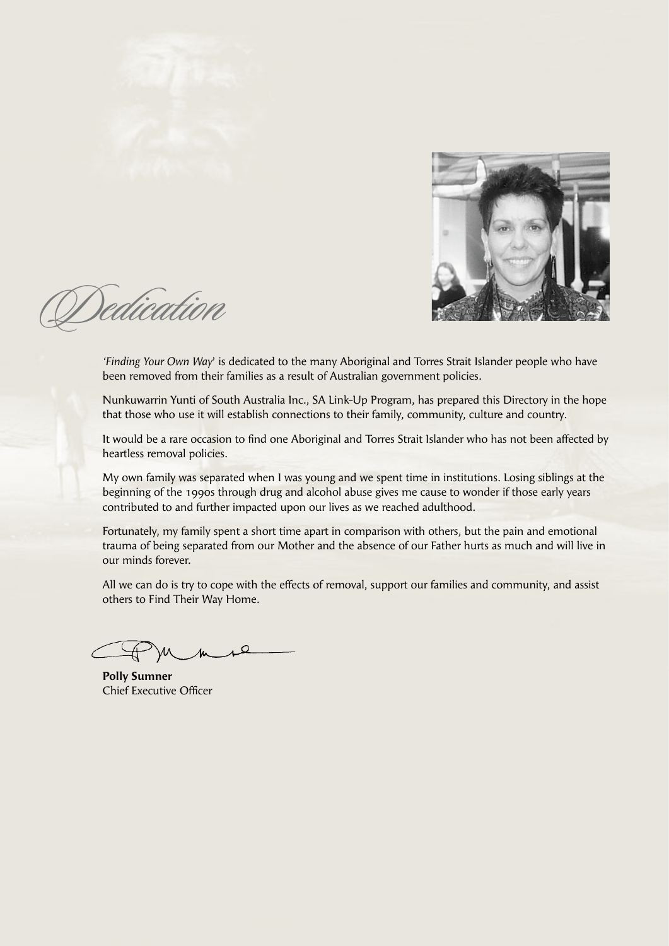

edication  $\varnothing$ 

*'Finding Your Own Way*' is dedicated to the many Aboriginal and Torres Strait Islander people who have been removed from their families as a result of Australian government policies.

Nunkuwarrin Yunti of South Australia Inc., SA Link-Up Program, has prepared this Directory in the hope that those who use it will establish connections to their family, community, culture and country.

It would be a rare occasion to find one Aboriginal and Torres Strait Islander who has not been affected by heartless removal policies.

My own family was separated when I was young and we spent time in institutions. Losing siblings at the beginning of the 1990s through drug and alcohol abuse gives me cause to wonder if those early years contributed to and further impacted upon our lives as we reached adulthood.

Fortunately, my family spent a short time apart in comparison with others, but the pain and emotional trauma of being separated from our Mother and the absence of our Father hurts as much and will live in our minds forever.

All we can do is try to cope with the effects of removal, support our families and community, and assist others to Find Their Way Home.

**Polly Sumner** Chief Executive Officer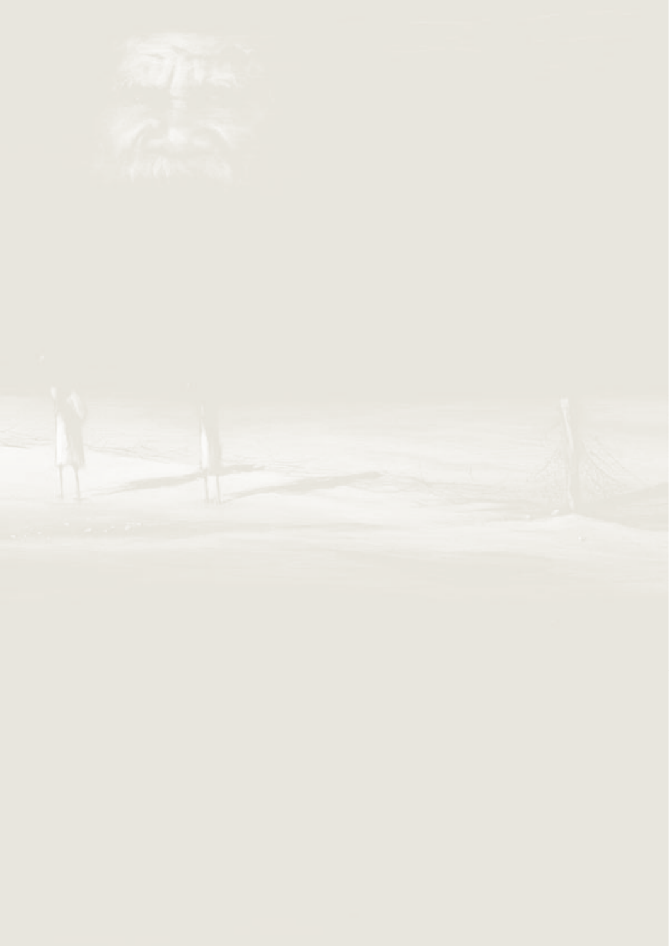

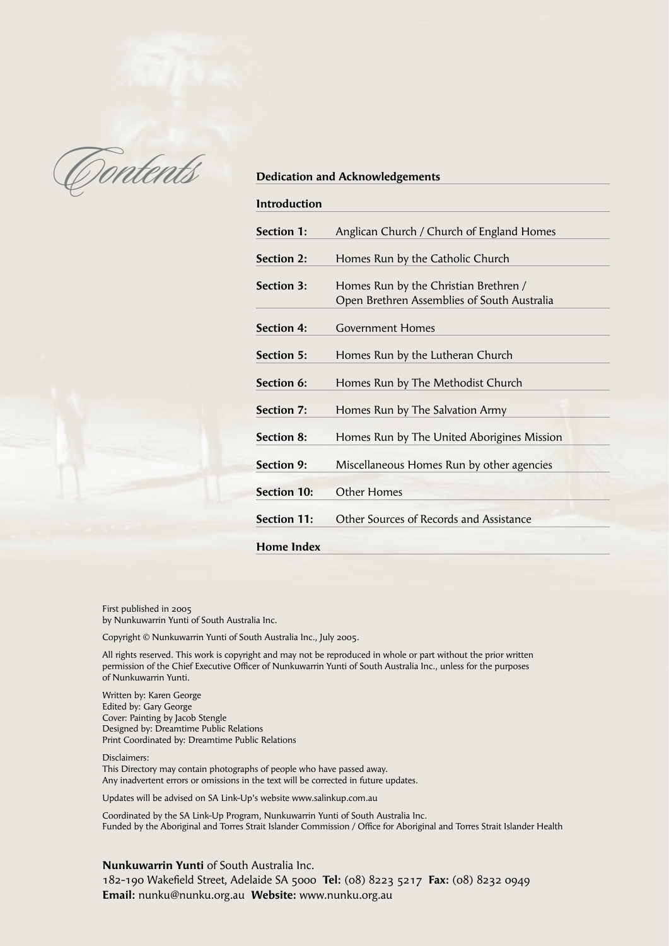Contents

## **Dedication and Acknowledgements**

| <b>Introduction</b> |                                                                                      |
|---------------------|--------------------------------------------------------------------------------------|
| <b>Section 1:</b>   | Anglican Church / Church of England Homes                                            |
| <b>Section 2:</b>   | Homes Run by the Catholic Church                                                     |
| Section 3:          | Homes Run by the Christian Brethren /<br>Open Brethren Assemblies of South Australia |
| <b>Section 4:</b>   | Government Homes                                                                     |
| <b>Section 5:</b>   | Homes Run by the Lutheran Church                                                     |
| Section 6:          | Homes Run by The Methodist Church                                                    |
| Section 7:          | Homes Run by The Salvation Army                                                      |
| <b>Section 8:</b>   | Homes Run by The United Aborigines Mission                                           |
| <b>Section 9:</b>   | Miscellaneous Homes Run by other agencies                                            |
| <b>Section 10:</b>  | Other Homes                                                                          |
| <b>Section 11:</b>  | Other Sources of Records and Assistance                                              |
| <b>Home Index</b>   |                                                                                      |

First published in 2005 by Nunkuwarrin Yunti of South Australia Inc.

Copyright © Nunkuwarrin Yunti of South Australia Inc., July 2005.

All rights reserved. This work is copyright and may not be reproduced in whole or part without the prior written permission of the Chief Executive Officer of Nunkuwarrin Yunti of South Australia Inc., unless for the purposes of Nunkuwarrin Yunti.

Written by: Karen George Edited by: Gary George Cover: Painting by Jacob Stengle Designed by: Dreamtime Public Relations Print Coordinated by: Dreamtime Public Relations

Disclaimers:

This Directory may contain photographs of people who have passed away. Any inadvertent errors or omissions in the text will be corrected in future updates.

Updates will be advised on SA Link-Up's website www.salinkup.com.au

Coordinated by the SA Link-Up Program, Nunkuwarrin Yunti of South Australia Inc. Funded by the Aboriginal and Torres Strait Islander Commission / Office for Aboriginal and Torres Strait Islander Health

**Nunkuwarrin Yunti** of South Australia Inc.

182-190 Wakefi eld Street, Adelaide SA 5000 **Tel:** (08) 8223 5217 **Fax:** (08) 8232 0949 **Email:** nunku@nunku.org.au **Website:** www.nunku.org.au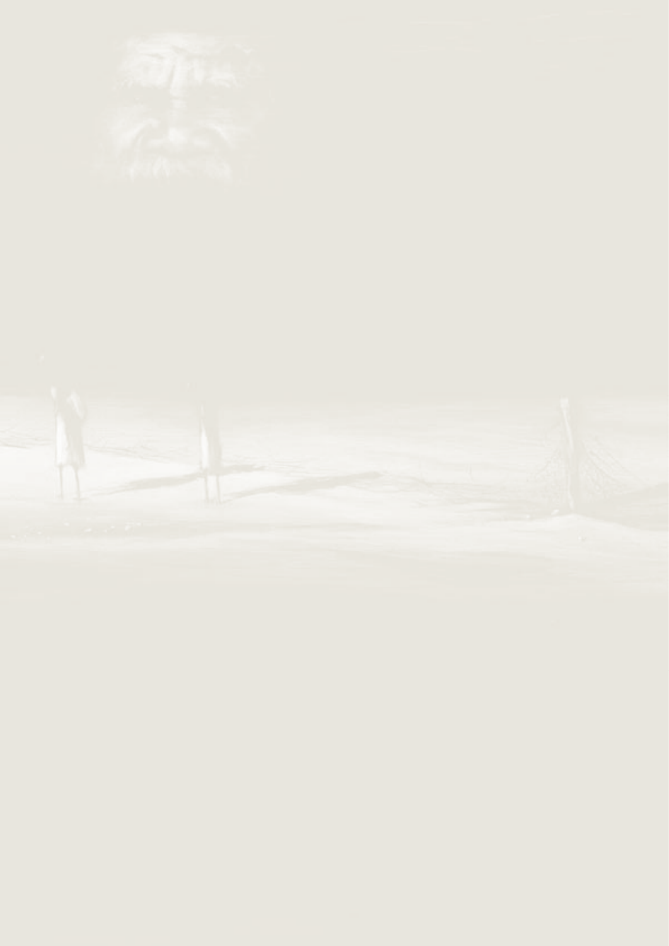

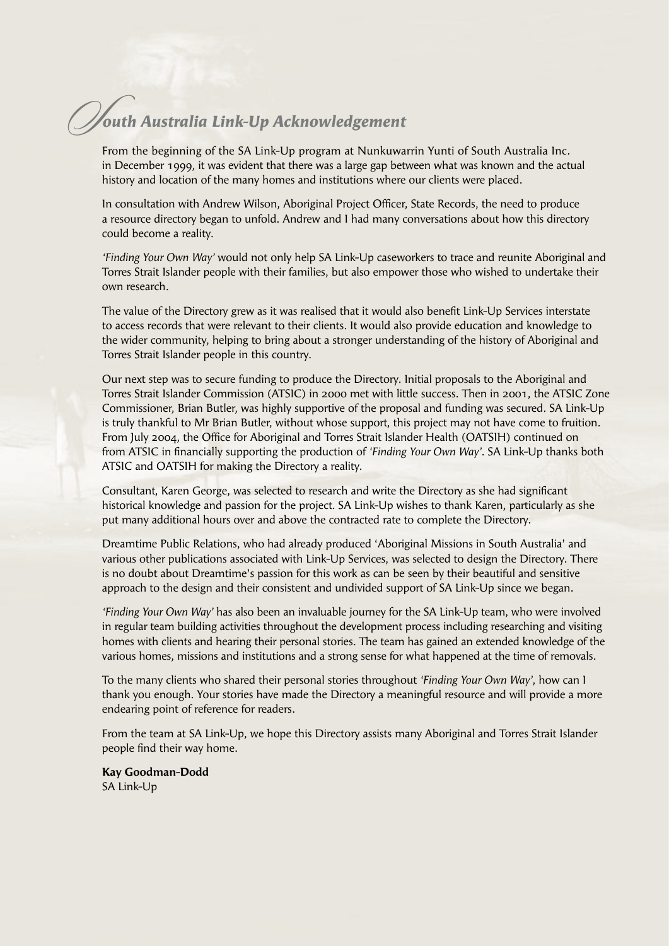## *outh Australia Link-Up Acknowledgement*  S

From the beginning of the SA Link-Up program at Nunkuwarrin Yunti of South Australia Inc. in December 1999, it was evident that there was a large gap between what was known and the actual history and location of the many homes and institutions where our clients were placed.

In consultation with Andrew Wilson, Aboriginal Project Officer, State Records, the need to produce a resource directory began to unfold. Andrew and I had many conversations about how this directory could become a reality.

*'Finding Your Own Way'* would not only help SA Link-Up caseworkers to trace and reunite Aboriginal and Torres Strait Islander people with their families, but also empower those who wished to undertake their own research.

The value of the Directory grew as it was realised that it would also benefit Link-Up Services interstate to access records that were relevant to their clients. It would also provide education and knowledge to the wider community, helping to bring about a stronger understanding of the history of Aboriginal and Torres Strait Islander people in this country.

Our next step was to secure funding to produce the Directory. Initial proposals to the Aboriginal and Torres Strait Islander Commission (ATSIC) in 2000 met with little success. Then in 2001, the ATSIC Zone Commissioner, Brian Butler, was highly supportive of the proposal and funding was secured. SA Link-Up is truly thankful to Mr Brian Butler, without whose support, this project may not have come to fruition. From July 2004, the Office for Aboriginal and Torres Strait Islander Health (OATSIH) continued on from ATSIC in financially supporting the production of 'Finding Your Own Way'. SA Link-Up thanks both ATSIC and OATSIH for making the Directory a reality.

Consultant, Karen George, was selected to research and write the Directory as she had significant historical knowledge and passion for the project. SA Link-Up wishes to thank Karen, particularly as she put many additional hours over and above the contracted rate to complete the Directory.

Dreamtime Public Relations, who had already produced 'Aboriginal Missions in South Australia' and various other publications associated with Link-Up Services, was selected to design the Directory. There is no doubt about Dreamtime's passion for this work as can be seen by their beautiful and sensitive approach to the design and their consistent and undivided support of SA Link-Up since we began.

*'Finding Your Own Way'* has also been an invaluable journey for the SA Link-Up team, who were involved in regular team building activities throughout the development process including researching and visiting homes with clients and hearing their personal stories. The team has gained an extended knowledge of the various homes, missions and institutions and a strong sense for what happened at the time of removals.

To the many clients who shared their personal stories throughout *'Finding Your Own Way'*, how can I thank you enough. Your stories have made the Directory a meaningful resource and will provide a more endearing point of reference for readers.

From the team at SA Link-Up, we hope this Directory assists many Aboriginal and Torres Strait Islander people find their way home.

**Kay Goodman-Dodd** SA Link-Up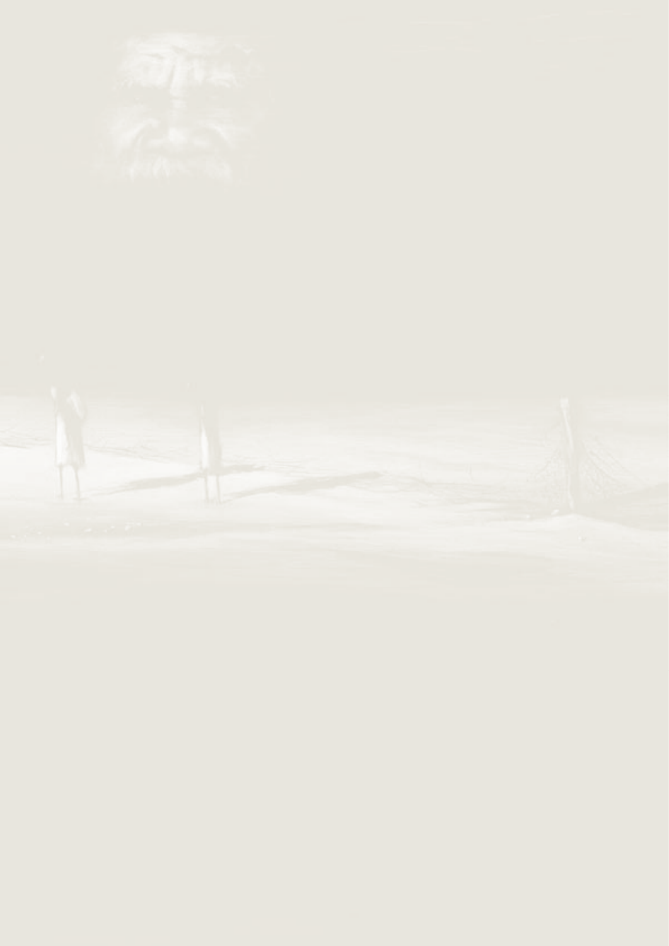

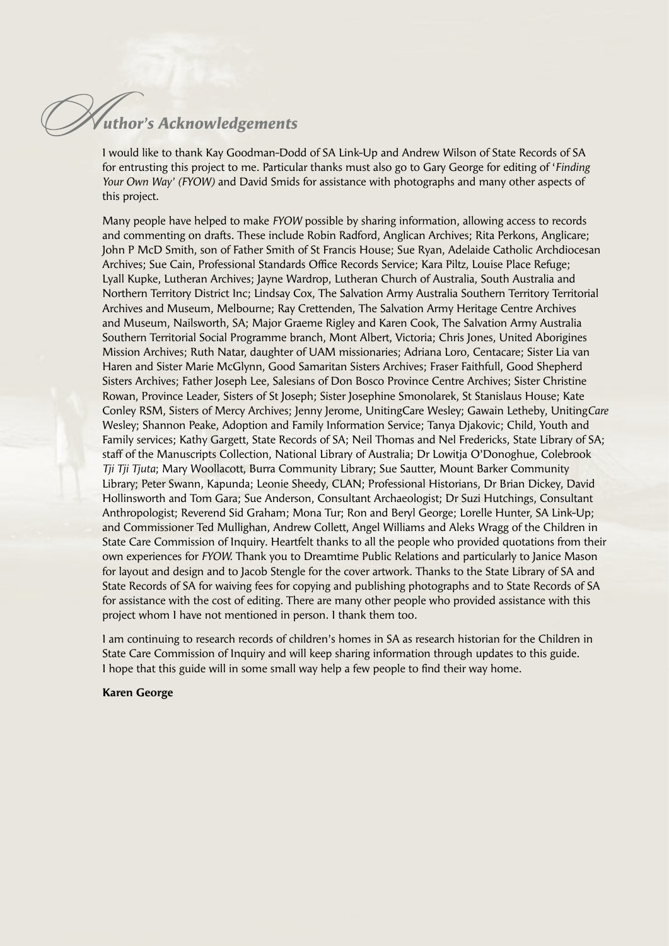## *uthor's Acknowledgements*

I would like to thank Kay Goodman-Dodd of SA Link-Up and Andrew Wilson of State Records of SA for entrusting this project to me. Particular thanks must also go to Gary George for editing of '*Finding Your Own Way' (FYOW)* and David Smids for assistance with photographs and many other aspects of this project.

Many people have helped to make *FYOW* possible by sharing information, allowing access to records and commenting on drafts. These include Robin Radford, Anglican Archives; Rita Perkons, Anglicare; John P McD Smith, son of Father Smith of St Francis House; Sue Ryan, Adelaide Catholic Archdiocesan Archives; Sue Cain, Professional Standards Office Records Service; Kara Piltz, Louise Place Refuge; Lyall Kupke, Lutheran Archives; Jayne Wardrop, Lutheran Church of Australia, South Australia and Northern Territory District Inc; Lindsay Cox, The Salvation Army Australia Southern Territory Territorial Archives and Museum, Melbourne; Ray Crettenden, The Salvation Army Heritage Centre Archives and Museum, Nailsworth, SA; Major Graeme Rigley and Karen Cook, The Salvation Army Australia Southern Territorial Social Programme branch, Mont Albert, Victoria; Chris Jones, United Aborigines Mission Archives; Ruth Natar, daughter of UAM missionaries; Adriana Loro, Centacare; Sister Lia van Haren and Sister Marie McGlynn, Good Samaritan Sisters Archives; Fraser Faithfull, Good Shepherd Sisters Archives; Father Joseph Lee, Salesians of Don Bosco Province Centre Archives; Sister Christine Rowan, Province Leader, Sisters of St Joseph; Sister Josephine Smonolarek, St Stanislaus House; Kate Conley RSM, Sisters of Mercy Archives; Jenny Jerome, UnitingCare Wesley; Gawain Letheby, Uniting*Care* Wesley; Shannon Peake, Adoption and Family Information Service; Tanya Djakovic; Child, Youth and Family services; Kathy Gargett, State Records of SA; Neil Thomas and Nel Fredericks, State Library of SA; staff of the Manuscripts Collection, National Library of Australia; Dr Lowitja O'Donoghue, Colebrook *Tji Tji Tjuta*; Mary Woollacott, Burra Community Library; Sue Sautter, Mount Barker Community Library; Peter Swann, Kapunda; Leonie Sheedy, CLAN; Professional Historians, Dr Brian Dickey, David Hollinsworth and Tom Gara; Sue Anderson, Consultant Archaeologist; Dr Suzi Hutchings, Consultant Anthropologist; Reverend Sid Graham; Mona Tur; Ron and Beryl George; Lorelle Hunter, SA Link-Up; and Commissioner Ted Mullighan, Andrew Collett, Angel Williams and Aleks Wragg of the Children in State Care Commission of Inquiry. Heartfelt thanks to all the people who provided quotations from their own experiences for *FYOW.* Thank you to Dreamtime Public Relations and particularly to Janice Mason for layout and design and to Jacob Stengle for the cover artwork. Thanks to the State Library of SA and State Records of SA for waiving fees for copying and publishing photographs and to State Records of SA for assistance with the cost of editing. There are many other people who provided assistance with this project whom I have not mentioned in person. I thank them too.

I am continuing to research records of children's homes in SA as research historian for the Children in State Care Commission of Inquiry and will keep sharing information through updates to this guide. I hope that this guide will in some small way help a few people to find their way home.

## **Karen George**